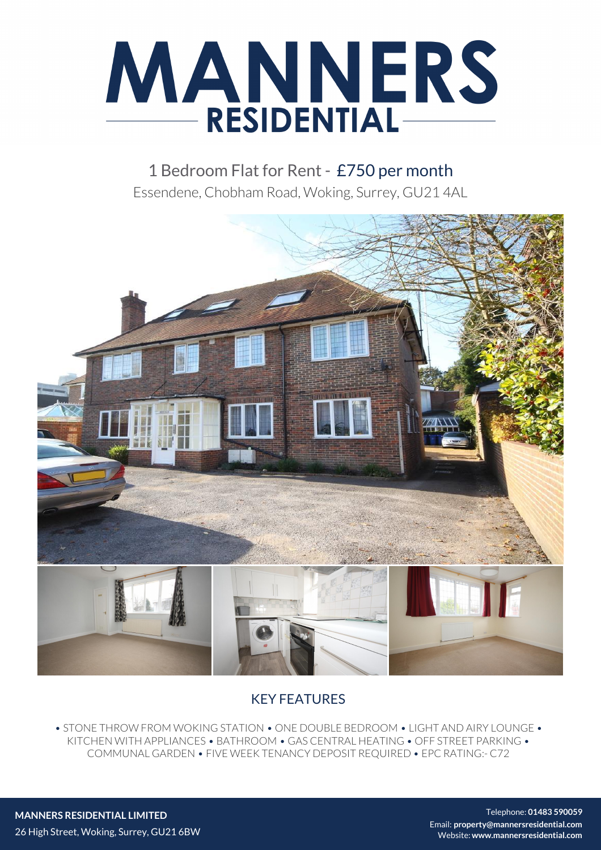

1 Bedroom Flat for Rent - £750 per month Essendene, Chobham Road, Woking, Surrey, GU21 4AL



# KEY FEATURES

• STONE THROW FROM WOKING STATION • ONE DOUBLE BEDROOM • LIGHT AND AIRY LOUNGE • KITCHEN WITH APPLIANCES • BATHROOM • GAS CENTRAL HEATING • OFF STREET PARKING • COMMUNAL GARDEN • FIVE WEEK TENANCY DEPOSIT REQUIRED • EPC RATING:- C72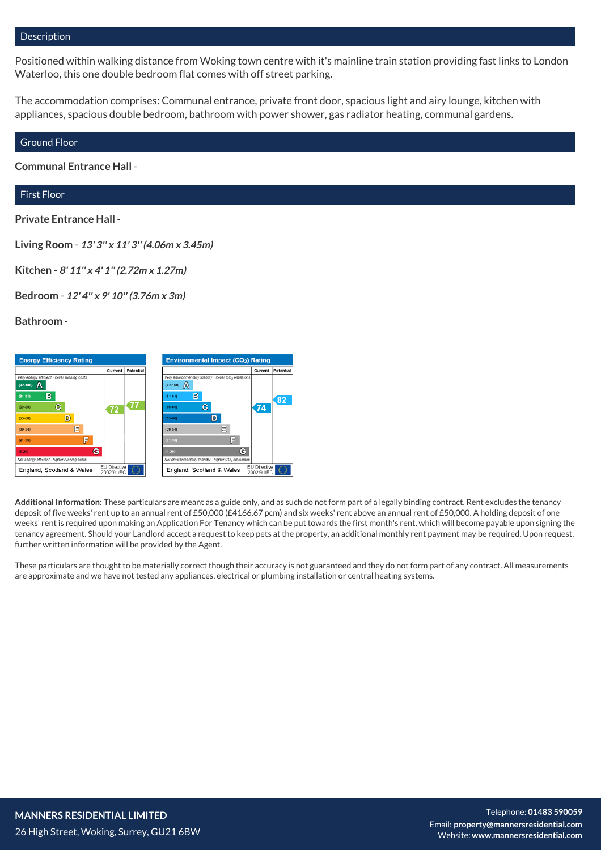## Description

Positioned within walking distance from Woking town centre with it's mainline train station providing fast links to London Waterloo, this one double bedroom flat comes with off street parking.

The accommodation comprises: Communal entrance, private front door, spacious light and airy lounge, kitchen with appliances, spacious double bedroom, bathroom with power shower, gas radiator heating, communal gardens.

#### Ground Floor

**Communal Entrance Hall** -

# First Floor

### **Private Entrance Hall** -

**Living Room** - **13' 3'' x 11' 3'' (4.06m x 3.45m)**

**Kitchen** - **8' 11'' x 4' 1'' (2.72m x 1.27m)**

**Bedroom** - **12' 4'' x 9' 10'' (3.76m x 3m)**

**Bathroom** -



**Additional Information:** These particulars are meant as a guide only, and as such do not form part of a legally binding contract. Rent excludes the tenancy deposit of five weeks' rent up to an annual rent of £50,000 (£4166.67 pcm) and six weeks' rent above an annual rent of £50,000. A holding deposit of one weeks' rent is required upon making an Application For Tenancy which can be put towards the first month's rent, which will become payable upon signing the tenancy agreement. Should your Landlord accept a request to keep pets at the property, an additional monthly rent payment may be required. Upon request, further written information will be provided by the Agent.

These particulars are thought to be materially correct though their accuracy is not guaranteed and they do not form part of any contract. All measurements are approximate and we have not tested any appliances, electrical or plumbing installation or central heating systems.